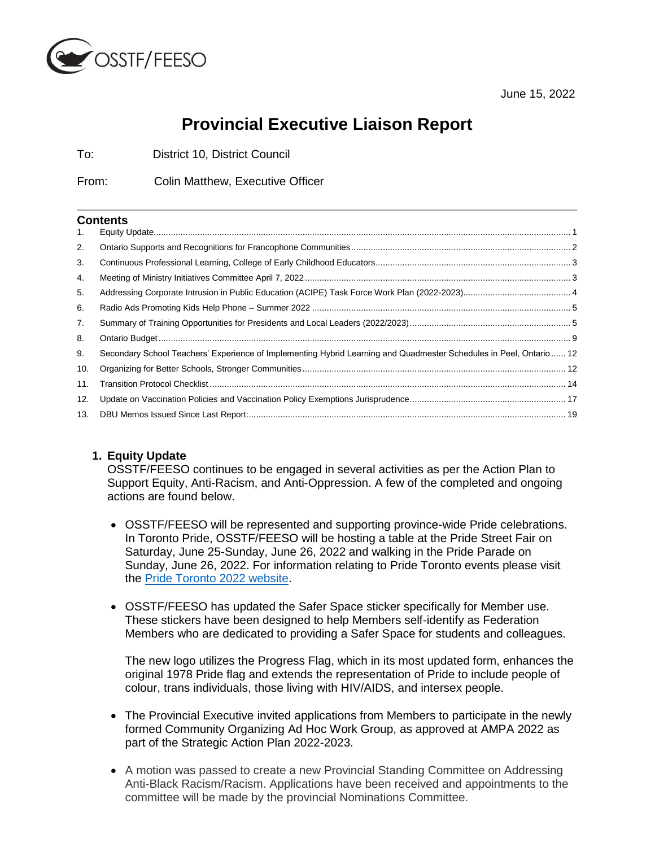

June 15, 2022

# **Provincial Executive Liaison Report**

To: District 10, District Council

From: Colin Matthew, Executive Officer

#### **Contents**

| Secondary School Teachers' Experience of Implementing Hybrid Learning and Quadmester Schedules in Peel, Ontario 12 |  |
|--------------------------------------------------------------------------------------------------------------------|--|
|                                                                                                                    |  |
|                                                                                                                    |  |
|                                                                                                                    |  |
|                                                                                                                    |  |
|                                                                                                                    |  |

# <span id="page-0-0"></span>**1. Equity Update**

OSSTF/FEESO continues to be engaged in several activities as per the Action Plan to Support Equity, Anti-Racism, and Anti-Oppression. A few of the completed and ongoing actions are found below.

- OSSTF/FEESO will be represented and supporting province-wide Pride celebrations. In Toronto Pride, OSSTF/FEESO will be hosting a table at the Pride Street Fair on Saturday, June 25-Sunday, June 26, 2022 and walking in the Pride Parade on Sunday, June 26, 2022. For information relating to Pride Toronto events please visit the [Pride Toronto 2022 website.](https://www.pridetoronto.com/pride-2022/)
- OSSTF/FEESO has updated the Safer Space sticker specifically for Member use. These stickers have been designed to help Members self-identify as Federation Members who are dedicated to providing a Safer Space for students and colleagues.

The new logo utilizes the Progress Flag, which in its most updated form, enhances the original 1978 Pride flag and extends the representation of Pride to include people of colour, trans individuals, those living with HIV/AIDS, and intersex people.

- The Provincial Executive invited applications from Members to participate in the newly formed Community Organizing Ad Hoc Work Group, as approved at AMPA 2022 as part of the Strategic Action Plan 2022-2023.
- A motion was passed to create a new Provincial Standing Committee on Addressing Anti-Black Racism/Racism. Applications have been received and appointments to the committee will be made by the provincial Nominations Committee.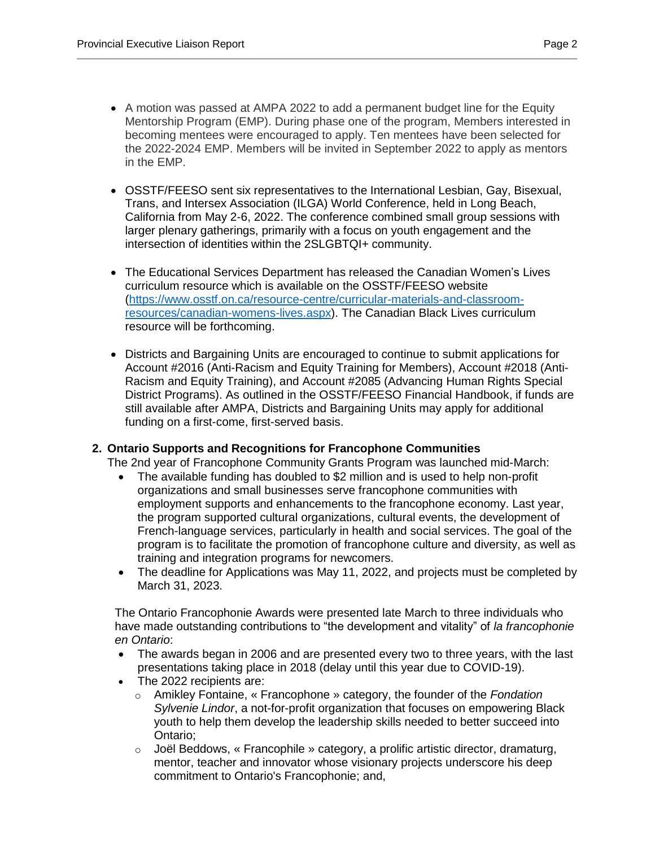- A motion was passed at AMPA 2022 to add a permanent budget line for the Equity Mentorship Program (EMP). During phase one of the program, Members interested in becoming mentees were encouraged to apply. Ten mentees have been selected for the 2022-2024 EMP. Members will be invited in September 2022 to apply as mentors in the EMP.
- OSSTF/FEESO sent six representatives to the International Lesbian, Gay, Bisexual, Trans, and Intersex Association (ILGA) World Conference, held in Long Beach, California from May 2-6, 2022. The conference combined small group sessions with larger plenary gatherings, primarily with a focus on youth engagement and the intersection of identities within the 2SLGBTQI+ community.
- The Educational Services Department has released the Canadian Women's Lives curriculum resource which is available on the OSSTF/FEESO website [\(https://www.osstf.on.ca/resource-centre/curricular-materials-and-classroom](https://www.osstf.on.ca/resource-centre/curricular-materials-and-classroom-resources/canadian-womens-lives.aspx)[resources/canadian-womens-lives.aspx\)](https://www.osstf.on.ca/resource-centre/curricular-materials-and-classroom-resources/canadian-womens-lives.aspx). The Canadian Black Lives curriculum resource will be forthcoming.
- Districts and Bargaining Units are encouraged to continue to submit applications for Account #2016 (Anti-Racism and Equity Training for Members), Account #2018 (Anti-Racism and Equity Training), and Account #2085 (Advancing Human Rights Special District Programs). As outlined in the OSSTF/FEESO Financial Handbook, if funds are still available after AMPA, Districts and Bargaining Units may apply for additional funding on a first-come, first-served basis.

# <span id="page-1-0"></span>**2. Ontario Supports and Recognitions for Francophone Communities**

The 2nd year of Francophone Community Grants Program was launched mid-March:

- The available funding has doubled to \$2 million and is used to help non-profit organizations and small businesses serve francophone communities with employment supports and enhancements to the francophone economy. Last year, the program supported cultural organizations, cultural events, the development of French-language services, particularly in health and social services. The goal of the program is to facilitate the promotion of francophone culture and diversity, as well as training and integration programs for newcomers.
- The deadline for Applications was May 11, 2022, and projects must be completed by March 31, 2023.

The Ontario Francophonie Awards were presented late March to three individuals who have made outstanding contributions to "the development and vitality" of *la francophonie en Ontario*:

- The awards began in 2006 and are presented every two to three years, with the last presentations taking place in 2018 (delay until this year due to COVID-19).
- The 2022 recipients are:
	- o Amikley Fontaine, « Francophone » category, the founder of the *Fondation Sylvenie Lindor*, a not-for-profit organization that focuses on empowering Black youth to help them develop the leadership skills needed to better succeed into Ontario;
	- $\circ$  Joël Beddows, « Francophile » category, a prolific artistic director, dramaturg, mentor, teacher and innovator whose visionary projects underscore his deep commitment to Ontario's Francophonie; and,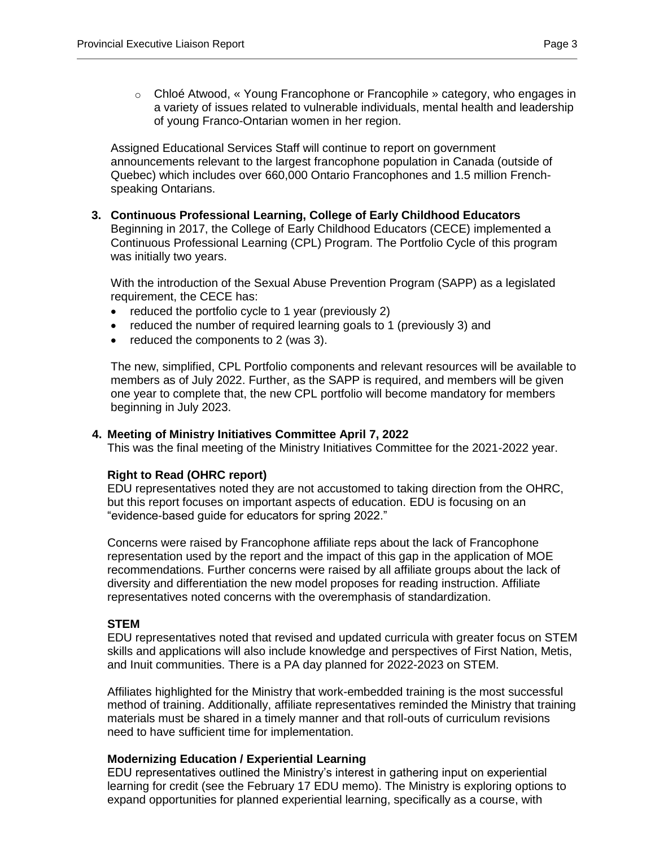o Chloé Atwood, « Young Francophone or Francophile » category, who engages in a variety of issues related to vulnerable individuals, mental health and leadership of young Franco-Ontarian women in her region.

Assigned Educational Services Staff will continue to report on government announcements relevant to the largest francophone population in Canada (outside of Quebec) which includes over 660,000 Ontario Francophones and 1.5 million Frenchspeaking Ontarians.

#### <span id="page-2-0"></span>**3. Continuous Professional Learning, College of Early Childhood Educators**

Beginning in 2017, the College of Early Childhood Educators (CECE) implemented a Continuous Professional Learning (CPL) Program. The Portfolio Cycle of this program was initially two years.

With the introduction of the Sexual Abuse Prevention Program (SAPP) as a legislated requirement, the CECE has:

- reduced the portfolio cycle to 1 year (previously 2)
- reduced the number of required learning goals to 1 (previously 3) and
- $\bullet$  reduced the components to 2 (was 3).

The new, simplified, CPL Portfolio components and relevant resources will be available to members as of July 2022. Further, as the SAPP is required, and members will be given one year to complete that, the new CPL portfolio will become mandatory for members beginning in July 2023.

#### <span id="page-2-1"></span>**4. Meeting of Ministry Initiatives Committee April 7, 2022**

This was the final meeting of the Ministry Initiatives Committee for the 2021-2022 year.

# **Right to Read (OHRC report)**

EDU representatives noted they are not accustomed to taking direction from the OHRC, but this report focuses on important aspects of education. EDU is focusing on an "evidence-based guide for educators for spring 2022."

Concerns were raised by Francophone affiliate reps about the lack of Francophone representation used by the report and the impact of this gap in the application of MOE recommendations. Further concerns were raised by all affiliate groups about the lack of diversity and differentiation the new model proposes for reading instruction. Affiliate representatives noted concerns with the overemphasis of standardization.

#### **STEM**

EDU representatives noted that revised and updated curricula with greater focus on STEM skills and applications will also include knowledge and perspectives of First Nation, Metis, and Inuit communities. There is a PA day planned for 2022-2023 on STEM.

Affiliates highlighted for the Ministry that work-embedded training is the most successful method of training. Additionally, affiliate representatives reminded the Ministry that training materials must be shared in a timely manner and that roll-outs of curriculum revisions need to have sufficient time for implementation.

# **Modernizing Education / Experiential Learning**

EDU representatives outlined the Ministry's interest in gathering input on experiential learning for credit (see the February 17 EDU memo). The Ministry is exploring options to expand opportunities for planned experiential learning, specifically as a course, with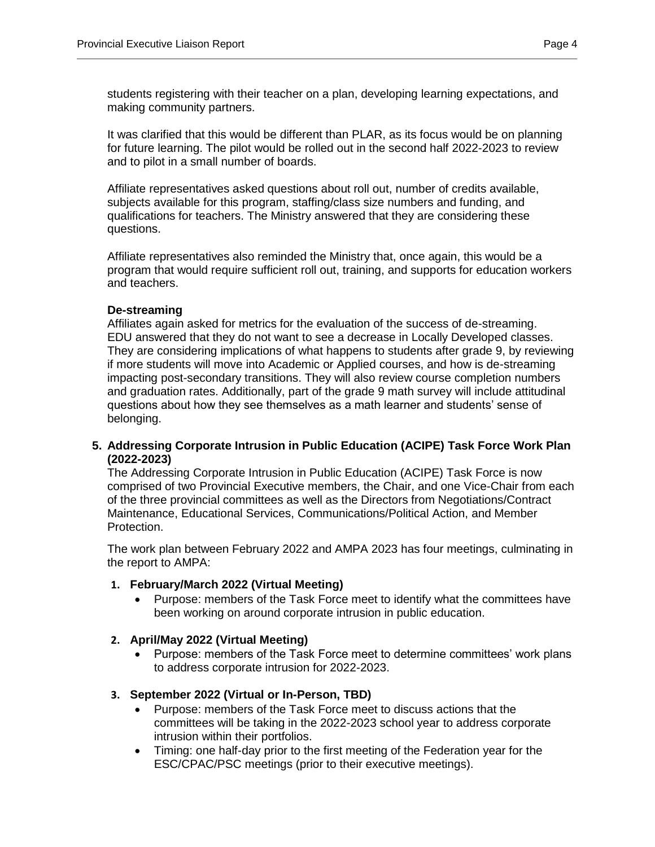students registering with their teacher on a plan, developing learning expectations, and making community partners.

It was clarified that this would be different than PLAR, as its focus would be on planning for future learning. The pilot would be rolled out in the second half 2022-2023 to review and to pilot in a small number of boards.

Affiliate representatives asked questions about roll out, number of credits available, subjects available for this program, staffing/class size numbers and funding, and qualifications for teachers. The Ministry answered that they are considering these questions.

Affiliate representatives also reminded the Ministry that, once again, this would be a program that would require sufficient roll out, training, and supports for education workers and teachers.

# **De-streaming**

Affiliates again asked for metrics for the evaluation of the success of de-streaming. EDU answered that they do not want to see a decrease in Locally Developed classes. They are considering implications of what happens to students after grade 9, by reviewing if more students will move into Academic or Applied courses, and how is de-streaming impacting post-secondary transitions. They will also review course completion numbers and graduation rates. Additionally, part of the grade 9 math survey will include attitudinal questions about how they see themselves as a math learner and students' sense of belonging.

<span id="page-3-0"></span>**5. Addressing Corporate Intrusion in Public Education (ACIPE) Task Force Work Plan (2022-2023)**

The Addressing Corporate Intrusion in Public Education (ACIPE) Task Force is now comprised of two Provincial Executive members, the Chair, and one Vice-Chair from each of the three provincial committees as well as the Directors from Negotiations/Contract Maintenance, Educational Services, Communications/Political Action, and Member Protection.

The work plan between February 2022 and AMPA 2023 has four meetings, culminating in the report to AMPA:

# **1. February/March 2022 (Virtual Meeting)**

 Purpose: members of the Task Force meet to identify what the committees have been working on around corporate intrusion in public education.

#### **2. April/May 2022 (Virtual Meeting)**

 Purpose: members of the Task Force meet to determine committees' work plans to address corporate intrusion for 2022-2023.

# **3. September 2022 (Virtual or In-Person, TBD)**

- Purpose: members of the Task Force meet to discuss actions that the committees will be taking in the 2022-2023 school year to address corporate intrusion within their portfolios.
- Timing: one half-day prior to the first meeting of the Federation year for the ESC/CPAC/PSC meetings (prior to their executive meetings).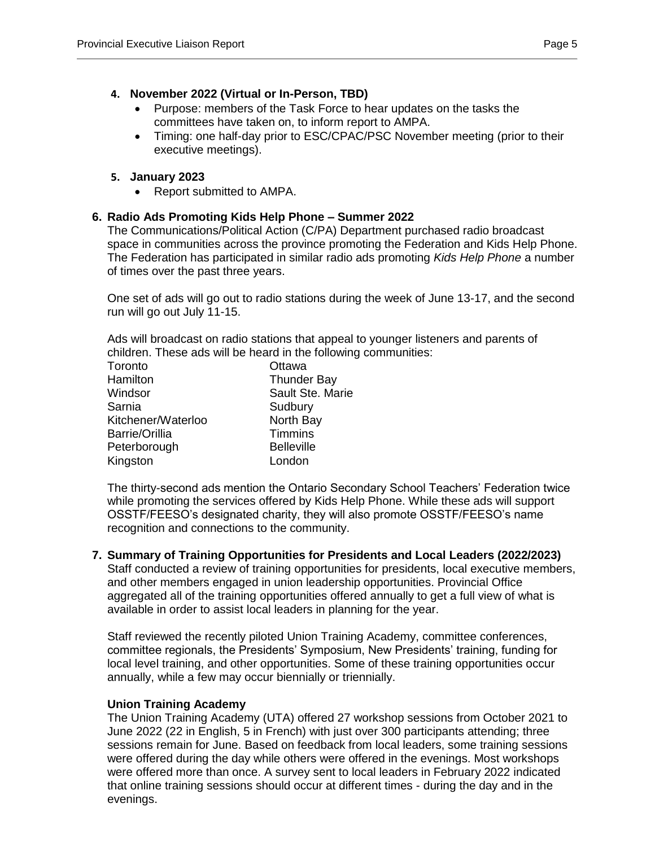# **4. November 2022 (Virtual or In-Person, TBD)**

- Purpose: members of the Task Force to hear updates on the tasks the committees have taken on, to inform report to AMPA.
- Timing: one half-day prior to ESC/CPAC/PSC November meeting (prior to their executive meetings).

# **5. January 2023**

• Report submitted to AMPA.

# <span id="page-4-0"></span>**6. Radio Ads Promoting Kids Help Phone – Summer 2022**

The Communications/Political Action (C/PA) Department purchased radio broadcast space in communities across the province promoting the Federation and Kids Help Phone. The Federation has participated in similar radio ads promoting *Kids Help Phone* a number of times over the past three years.

One set of ads will go out to radio stations during the week of June 13-17, and the second run will go out July 11-15.

Ads will broadcast on radio stations that appeal to younger listeners and parents of children. These ads will be heard in the following communities:

| Toronto               | Ottawa             |
|-----------------------|--------------------|
| Hamilton              | <b>Thunder Bay</b> |
| Windsor               | Sault Ste. Marie   |
| Sarnia                | Sudbury            |
| Kitchener/Waterloo    | North Bay          |
| <b>Barrie/Orillia</b> | <b>Timmins</b>     |
| Peterborough          | <b>Belleville</b>  |
| Kingston              | London             |

The thirty-second ads mention the Ontario Secondary School Teachers' Federation twice while promoting the services offered by Kids Help Phone. While these ads will support OSSTF/FEESO's designated charity, they will also promote OSSTF/FEESO's name recognition and connections to the community.

#### <span id="page-4-1"></span>**7. Summary of Training Opportunities for Presidents and Local Leaders (2022/2023)**

Staff conducted a review of training opportunities for presidents, local executive members, and other members engaged in union leadership opportunities. Provincial Office aggregated all of the training opportunities offered annually to get a full view of what is available in order to assist local leaders in planning for the year.

Staff reviewed the recently piloted Union Training Academy, committee conferences, committee regionals, the Presidents' Symposium, New Presidents' training, funding for local level training, and other opportunities. Some of these training opportunities occur annually, while a few may occur biennially or triennially.

#### **Union Training Academy**

The Union Training Academy (UTA) offered 27 workshop sessions from October 2021 to June 2022 (22 in English, 5 in French) with just over 300 participants attending; three sessions remain for June. Based on feedback from local leaders, some training sessions were offered during the day while others were offered in the evenings. Most workshops were offered more than once. A survey sent to local leaders in February 2022 indicated that online training sessions should occur at different times - during the day and in the evenings.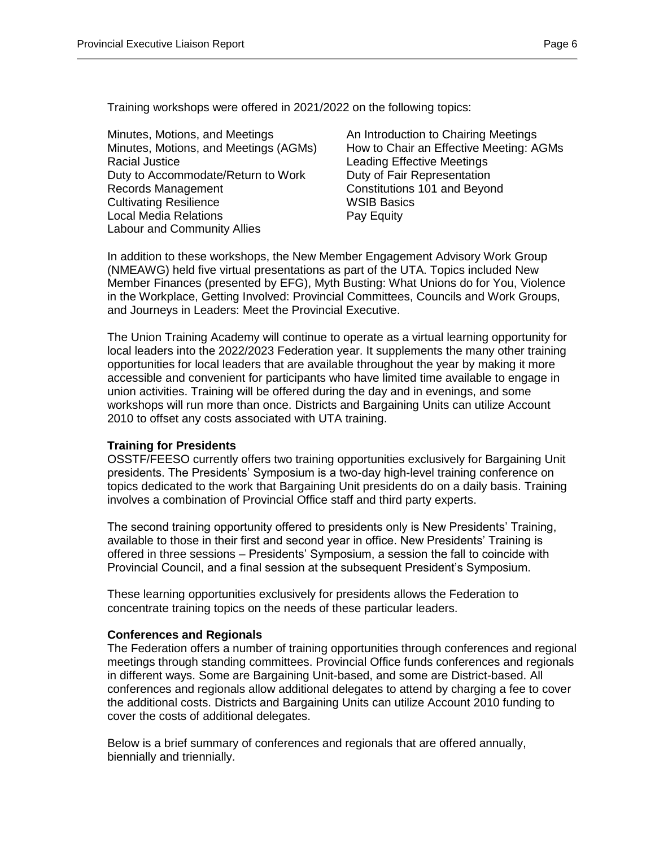Training workshops were offered in 2021/2022 on the following topics:

Minutes, Motions, and Meetings **An Introduction to Chairing Meetings** Racial Justice Leading Effective Meetings Duty to Accommodate/Return to Work Duty of Fair Representation Records Management **Constitutions 101** and Beyond **Cultivating Resilience** WSIB Basics Local Media Relations **Pay Equity** Labour and Community Allies

Minutes, Motions, and Meetings (AGMs) How to Chair an Effective Meeting: AGMs

In addition to these workshops, the New Member Engagement Advisory Work Group (NMEAWG) held five virtual presentations as part of the UTA. Topics included New Member Finances (presented by EFG), Myth Busting: What Unions do for You, Violence in the Workplace, Getting Involved: Provincial Committees, Councils and Work Groups, and Journeys in Leaders: Meet the Provincial Executive.

The Union Training Academy will continue to operate as a virtual learning opportunity for local leaders into the 2022/2023 Federation year. It supplements the many other training opportunities for local leaders that are available throughout the year by making it more accessible and convenient for participants who have limited time available to engage in union activities. Training will be offered during the day and in evenings, and some workshops will run more than once. Districts and Bargaining Units can utilize Account 2010 to offset any costs associated with UTA training.

# **Training for Presidents**

OSSTF/FEESO currently offers two training opportunities exclusively for Bargaining Unit presidents. The Presidents' Symposium is a two-day high-level training conference on topics dedicated to the work that Bargaining Unit presidents do on a daily basis. Training involves a combination of Provincial Office staff and third party experts.

The second training opportunity offered to presidents only is New Presidents' Training, available to those in their first and second year in office. New Presidents' Training is offered in three sessions – Presidents' Symposium, a session the fall to coincide with Provincial Council, and a final session at the subsequent President's Symposium.

These learning opportunities exclusively for presidents allows the Federation to concentrate training topics on the needs of these particular leaders.

# **Conferences and Regionals**

The Federation offers a number of training opportunities through conferences and regional meetings through standing committees. Provincial Office funds conferences and regionals in different ways. Some are Bargaining Unit-based, and some are District-based. All conferences and regionals allow additional delegates to attend by charging a fee to cover the additional costs. Districts and Bargaining Units can utilize Account 2010 funding to cover the costs of additional delegates.

Below is a brief summary of conferences and regionals that are offered annually, biennially and triennially.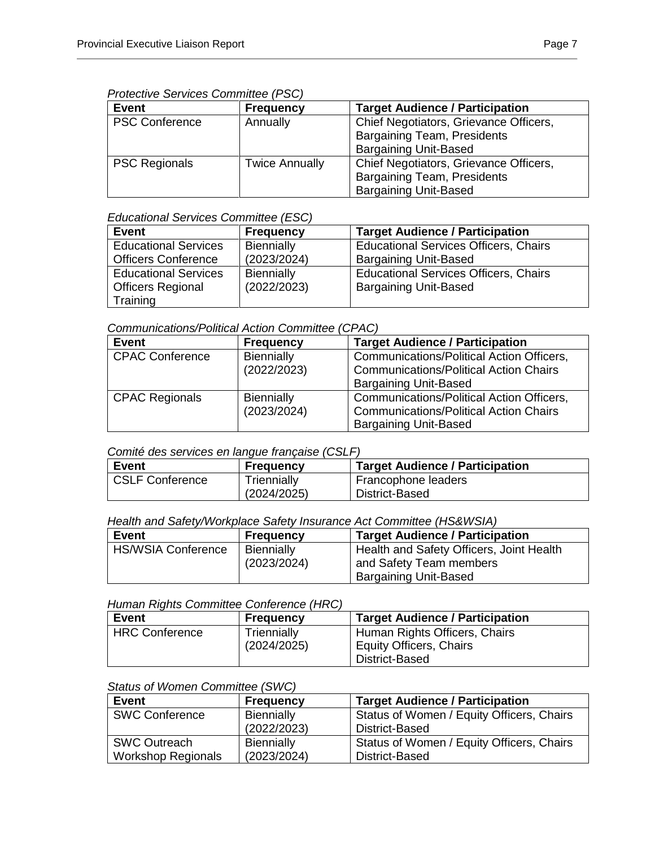#### *Protective Services Committee (PSC)*

| <b>Event</b>          | <b>Frequency</b>      | <b>Target Audience / Participation</b> |
|-----------------------|-----------------------|----------------------------------------|
| <b>PSC Conference</b> | Annually              | Chief Negotiators, Grievance Officers, |
|                       |                       | <b>Bargaining Team, Presidents</b>     |
|                       |                       | <b>Bargaining Unit-Based</b>           |
| <b>PSC Regionals</b>  | <b>Twice Annually</b> | Chief Negotiators, Grievance Officers, |
|                       |                       | <b>Bargaining Team, Presidents</b>     |
|                       |                       | <b>Bargaining Unit-Based</b>           |

## *Educational Services Committee (ESC)*

| Event                       | <b>Frequency</b> | <b>Target Audience / Participation</b>       |
|-----------------------------|------------------|----------------------------------------------|
| <b>Educational Services</b> | Biennially       | <b>Educational Services Officers, Chairs</b> |
| <b>Officers Conference</b>  | (2023/2024)      | <b>Bargaining Unit-Based</b>                 |
| <b>Educational Services</b> | Biennially       | <b>Educational Services Officers, Chairs</b> |
| <b>Officers Regional</b>    | (2022/2023)      | <b>Bargaining Unit-Based</b>                 |
| Training                    |                  |                                              |

## *Communications/Political Action Committee (CPAC)*

| <b>Event</b>           | <b>Frequency</b> | <b>Target Audience / Participation</b>           |
|------------------------|------------------|--------------------------------------------------|
| <b>CPAC Conference</b> | Biennially       | <b>Communications/Political Action Officers,</b> |
|                        | (2022/2023)      | <b>Communications/Political Action Chairs</b>    |
|                        |                  | <b>Bargaining Unit-Based</b>                     |
| <b>CPAC Regionals</b>  | Biennially       | <b>Communications/Political Action Officers,</b> |
|                        | (2023/2024)      | <b>Communications/Political Action Chairs</b>    |
|                        |                  | <b>Bargaining Unit-Based</b>                     |

#### *Comité des services en langue française (CSLF)*

| Event                  | <b>Frequency</b> | <b>Target Audience / Participation</b> |
|------------------------|------------------|----------------------------------------|
| <b>CSLF Conference</b> | Triennially      | Francophone leaders                    |
|                        | (2024/2025)      | District-Based                         |

## *Health and Safety/Workplace Safety Insurance Act Committee (HS&WSIA)*

| <b>Event</b>              | <b>Frequency</b> | <b>Target Audience / Participation</b>   |
|---------------------------|------------------|------------------------------------------|
| <b>HS/WSIA Conference</b> | Biennially       | Health and Safety Officers, Joint Health |
|                           | (2023/2024)      | and Safety Team members                  |
|                           |                  | <b>Bargaining Unit-Based</b>             |

#### *Human Rights Committee Conference (HRC)*

| Event                 | <b>Frequency</b> | <b>Target Audience / Participation</b> |
|-----------------------|------------------|----------------------------------------|
| <b>HRC Conference</b> | Triennially      | Human Rights Officers, Chairs          |
|                       | (2024/2025)      | Equity Officers, Chairs                |
|                       |                  | District-Based                         |

## *Status of Women Committee (SWC)*

| <b>Event</b>              | <b>Frequency</b>  | <b>Target Audience / Participation</b>    |
|---------------------------|-------------------|-------------------------------------------|
| <b>SWC Conference</b>     | <b>Biennially</b> | Status of Women / Equity Officers, Chairs |
|                           | (2022/2023)       | District-Based                            |
| <b>SWC Outreach</b>       | <b>Biennially</b> | Status of Women / Equity Officers, Chairs |
| <b>Workshop Regionals</b> | (2023/2024)       | District-Based                            |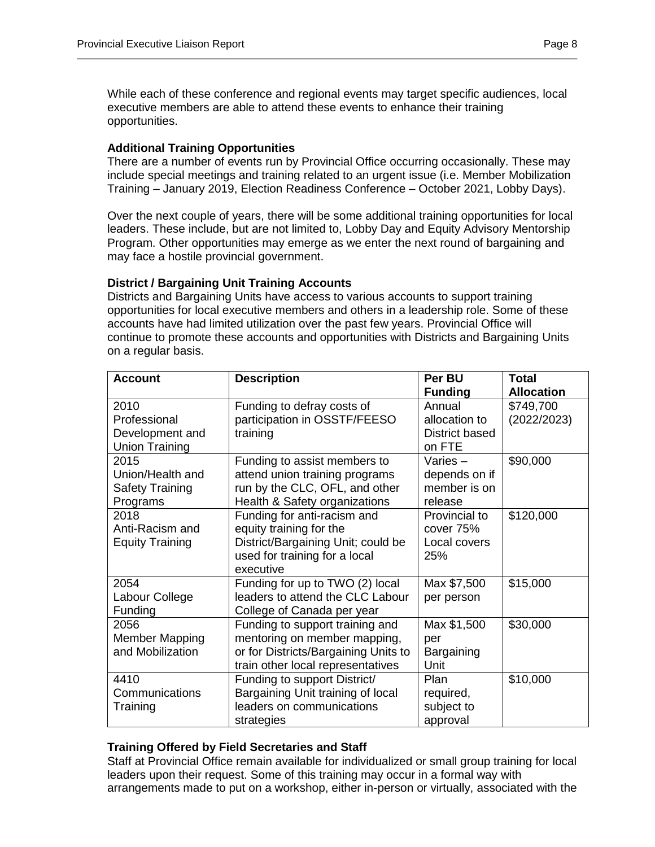While each of these conference and regional events may target specific audiences, local executive members are able to attend these events to enhance their training opportunities.

## **Additional Training Opportunities**

There are a number of events run by Provincial Office occurring occasionally. These may include special meetings and training related to an urgent issue (i.e. Member Mobilization Training – January 2019, Election Readiness Conference – October 2021, Lobby Days).

Over the next couple of years, there will be some additional training opportunities for local leaders. These include, but are not limited to, Lobby Day and Equity Advisory Mentorship Program. Other opportunities may emerge as we enter the next round of bargaining and may face a hostile provincial government.

## **District / Bargaining Unit Training Accounts**

Districts and Bargaining Units have access to various accounts to support training opportunities for local executive members and others in a leadership role. Some of these accounts have had limited utilization over the past few years. Provincial Office will continue to promote these accounts and opportunities with Districts and Bargaining Units on a regular basis.

| <b>Account</b>                                                   | <b>Description</b>                                                                                                                           | Per BU<br><b>Funding</b>                               | <b>Total</b><br><b>Allocation</b> |
|------------------------------------------------------------------|----------------------------------------------------------------------------------------------------------------------------------------------|--------------------------------------------------------|-----------------------------------|
| 2010<br>Professional<br>Development and<br><b>Union Training</b> | Funding to defray costs of<br>participation in OSSTF/FEESO<br>training                                                                       | Annual<br>allocation to<br>District based<br>on FTE    | \$749,700<br>(2022/2023)          |
| 2015<br>Union/Health and<br>Safety Training<br>Programs          | Funding to assist members to<br>attend union training programs<br>run by the CLC, OFL, and other<br>Health & Safety organizations            | Varies $-$<br>depends on if<br>member is on<br>release | \$90,000                          |
| 2018<br>Anti-Racism and<br><b>Equity Training</b>                | Funding for anti-racism and<br>equity training for the<br>District/Bargaining Unit; could be<br>used for training for a local<br>executive   | Provincial to<br>cover 75%<br>Local covers<br>25%      | \$120,000                         |
| 2054<br>Labour College<br>Funding                                | Funding for up to TWO (2) local<br>leaders to attend the CLC Labour<br>College of Canada per year                                            | Max \$7,500<br>per person                              | \$15,000                          |
| 2056<br>Member Mapping<br>and Mobilization                       | Funding to support training and<br>mentoring on member mapping,<br>or for Districts/Bargaining Units to<br>train other local representatives | Max \$1,500<br>per<br>Bargaining<br>Unit               | \$30,000                          |
| 4410<br>Communications<br>Training                               | Funding to support District/<br>Bargaining Unit training of local<br>leaders on communications<br>strategies                                 | Plan<br>required,<br>subject to<br>approval            | \$10,000                          |

# **Training Offered by Field Secretaries and Staff**

Staff at Provincial Office remain available for individualized or small group training for local leaders upon their request. Some of this training may occur in a formal way with arrangements made to put on a workshop, either in-person or virtually, associated with the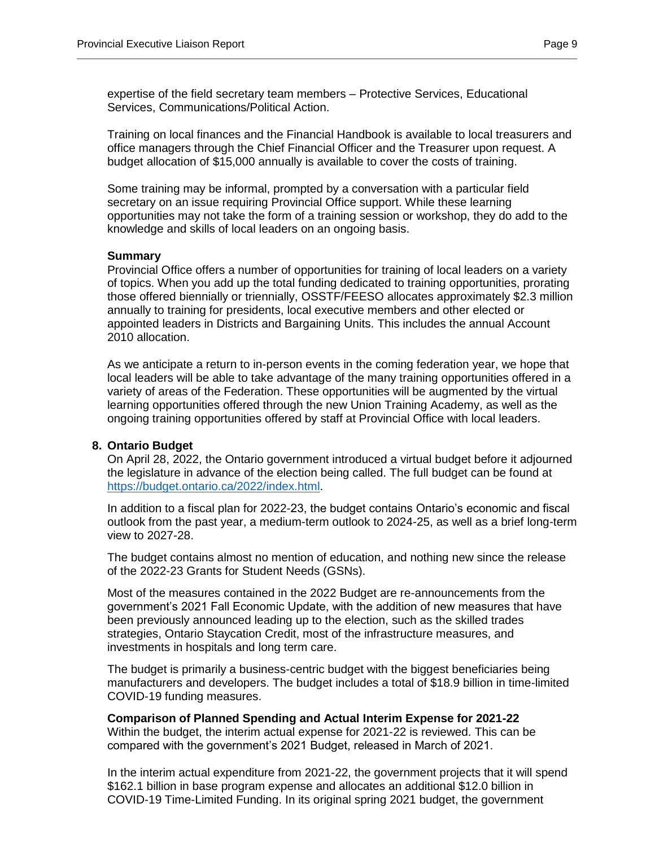expertise of the field secretary team members – Protective Services, Educational Services, Communications/Political Action.

Training on local finances and the Financial Handbook is available to local treasurers and office managers through the Chief Financial Officer and the Treasurer upon request. A budget allocation of \$15,000 annually is available to cover the costs of training.

Some training may be informal, prompted by a conversation with a particular field secretary on an issue requiring Provincial Office support. While these learning opportunities may not take the form of a training session or workshop, they do add to the knowledge and skills of local leaders on an ongoing basis.

#### **Summary**

Provincial Office offers a number of opportunities for training of local leaders on a variety of topics. When you add up the total funding dedicated to training opportunities, prorating those offered biennially or triennially, OSSTF/FEESO allocates approximately \$2.3 million annually to training for presidents, local executive members and other elected or appointed leaders in Districts and Bargaining Units. This includes the annual Account 2010 allocation.

As we anticipate a return to in-person events in the coming federation year, we hope that local leaders will be able to take advantage of the many training opportunities offered in a variety of areas of the Federation. These opportunities will be augmented by the virtual learning opportunities offered through the new Union Training Academy, as well as the ongoing training opportunities offered by staff at Provincial Office with local leaders.

#### <span id="page-8-0"></span>**8. Ontario Budget**

On April 28, 2022, the Ontario government introduced a virtual budget before it adjourned the legislature in advance of the election being called. The full budget can be found at [https://budget.ontario.ca/2022/index.html.](https://budget.ontario.ca/2022/index.html)

In addition to a fiscal plan for 2022-23, the budget contains Ontario's economic and fiscal outlook from the past year, a medium-term outlook to 2024-25, as well as a brief long-term view to 2027-28.

The budget contains almost no mention of education, and nothing new since the release of the 2022-23 Grants for Student Needs (GSNs).

Most of the measures contained in the 2022 Budget are re-announcements from the government's 2021 Fall Economic Update, with the addition of new measures that have been previously announced leading up to the election, such as the skilled trades strategies, Ontario Staycation Credit, most of the infrastructure measures, and investments in hospitals and long term care.

The budget is primarily a business-centric budget with the biggest beneficiaries being manufacturers and developers. The budget includes a total of \$18.9 billion in time-limited COVID-19 funding measures.

**Comparison of Planned Spending and Actual Interim Expense for 2021-22** Within the budget, the interim actual expense for 2021-22 is reviewed. This can be compared with the government's 2021 Budget, released in March of 2021.

In the interim actual expenditure from 2021-22, the government projects that it will spend \$162.1 billion in base program expense and allocates an additional \$12.0 billion in COVID-19 Time-Limited Funding. In its original spring 2021 budget, the government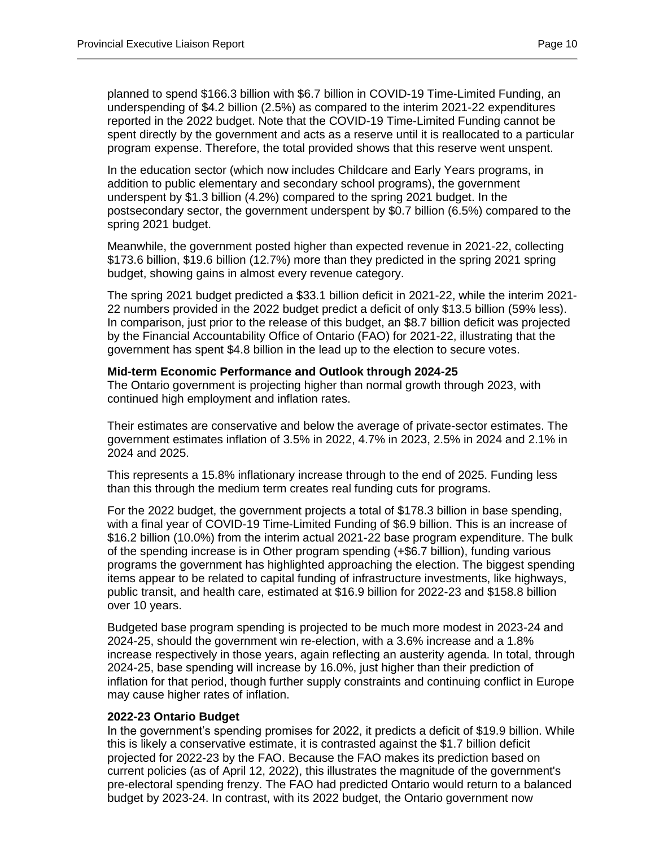planned to spend \$166.3 billion with \$6.7 billion in COVID-19 Time-Limited Funding, an underspending of \$4.2 billion (2.5%) as compared to the interim 2021-22 expenditures reported in the 2022 budget. Note that the COVID-19 Time-Limited Funding cannot be spent directly by the government and acts as a reserve until it is reallocated to a particular program expense. Therefore, the total provided shows that this reserve went unspent.

In the education sector (which now includes Childcare and Early Years programs, in addition to public elementary and secondary school programs), the government underspent by \$1.3 billion (4.2%) compared to the spring 2021 budget. In the postsecondary sector, the government underspent by \$0.7 billion (6.5%) compared to the spring 2021 budget.

Meanwhile, the government posted higher than expected revenue in 2021-22, collecting \$173.6 billion, \$19.6 billion (12.7%) more than they predicted in the spring 2021 spring budget, showing gains in almost every revenue category.

The spring 2021 budget predicted a \$33.1 billion deficit in 2021-22, while the interim 2021- 22 numbers provided in the 2022 budget predict a deficit of only \$13.5 billion (59% less). In comparison, just prior to the release of this budget, an \$8.7 billion deficit was projected by the Financial Accountability Office of Ontario (FAO) for 2021-22, illustrating that the government has spent \$4.8 billion in the lead up to the election to secure votes.

#### **Mid-term Economic Performance and Outlook through 2024-25**

The Ontario government is projecting higher than normal growth through 2023, with continued high employment and inflation rates.

Their estimates are conservative and below the average of private-sector estimates. The government estimates inflation of 3.5% in 2022, 4.7% in 2023, 2.5% in 2024 and 2.1% in 2024 and 2025.

This represents a 15.8% inflationary increase through to the end of 2025. Funding less than this through the medium term creates real funding cuts for programs.

For the 2022 budget, the government projects a total of \$178.3 billion in base spending, with a final year of COVID-19 Time-Limited Funding of \$6.9 billion. This is an increase of \$16.2 billion (10.0%) from the interim actual 2021-22 base program expenditure. The bulk of the spending increase is in Other program spending (+\$6.7 billion), funding various programs the government has highlighted approaching the election. The biggest spending items appear to be related to capital funding of infrastructure investments, like highways, public transit, and health care, estimated at \$16.9 billion for 2022-23 and \$158.8 billion over 10 years.

Budgeted base program spending is projected to be much more modest in 2023-24 and 2024-25, should the government win re-election, with a 3.6% increase and a 1.8% increase respectively in those years, again reflecting an austerity agenda. In total, through 2024-25, base spending will increase by 16.0%, just higher than their prediction of inflation for that period, though further supply constraints and continuing conflict in Europe may cause higher rates of inflation.

#### **2022-23 Ontario Budget**

In the government's spending promises for 2022, it predicts a deficit of \$19.9 billion. While this is likely a conservative estimate, it is contrasted against the \$1.7 billion deficit projected for 2022-23 by the FAO. Because the FAO makes its prediction based on current policies (as of April 12, 2022), this illustrates the magnitude of the government's pre-electoral spending frenzy. The FAO had predicted Ontario would return to a balanced budget by 2023-24. In contrast, with its 2022 budget, the Ontario government now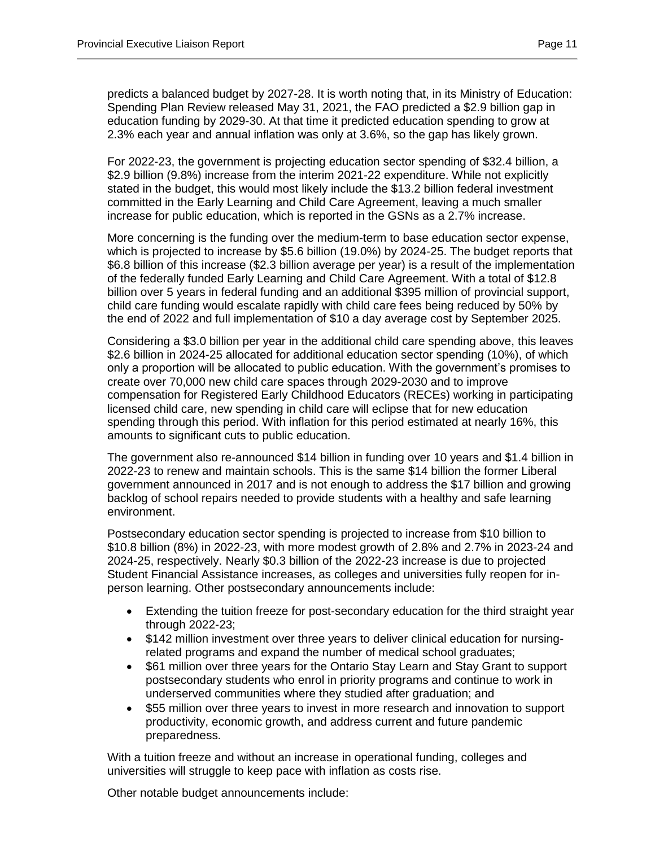predicts a balanced budget by 2027-28. It is worth noting that, in its Ministry of Education: Spending Plan Review released May 31, 2021, the FAO predicted a \$2.9 billion gap in education funding by 2029-30. At that time it predicted education spending to grow at 2.3% each year and annual inflation was only at 3.6%, so the gap has likely grown.

For 2022-23, the government is projecting education sector spending of \$32.4 billion, a \$2.9 billion (9.8%) increase from the interim 2021-22 expenditure. While not explicitly stated in the budget, this would most likely include the \$13.2 billion federal investment committed in the Early Learning and Child Care Agreement, leaving a much smaller increase for public education, which is reported in the GSNs as a 2.7% increase.

More concerning is the funding over the medium-term to base education sector expense, which is projected to increase by \$5.6 billion (19.0%) by 2024-25. The budget reports that \$6.8 billion of this increase (\$2.3 billion average per year) is a result of the implementation of the federally funded Early Learning and Child Care Agreement. With a total of \$12.8 billion over 5 years in federal funding and an additional \$395 million of provincial support, child care funding would escalate rapidly with child care fees being reduced by 50% by the end of 2022 and full implementation of \$10 a day average cost by September 2025.

Considering a \$3.0 billion per year in the additional child care spending above, this leaves \$2.6 billion in 2024-25 allocated for additional education sector spending (10%), of which only a proportion will be allocated to public education. With the government's promises to create over 70,000 new child care spaces through 2029-2030 and to improve compensation for Registered Early Childhood Educators (RECEs) working in participating licensed child care, new spending in child care will eclipse that for new education spending through this period. With inflation for this period estimated at nearly 16%, this amounts to significant cuts to public education.

The government also re-announced \$14 billion in funding over 10 years and \$1.4 billion in 2022-23 to renew and maintain schools. This is the same \$14 billion the former Liberal government announced in 2017 and is not enough to address the \$17 billion and growing backlog of school repairs needed to provide students with a healthy and safe learning environment.

Postsecondary education sector spending is projected to increase from \$10 billion to \$10.8 billion (8%) in 2022-23, with more modest growth of 2.8% and 2.7% in 2023-24 and 2024-25, respectively. Nearly \$0.3 billion of the 2022-23 increase is due to projected Student Financial Assistance increases, as colleges and universities fully reopen for inperson learning. Other postsecondary announcements include:

- Extending the tuition freeze for post-secondary education for the third straight year through 2022-23;
- \$142 million investment over three years to deliver clinical education for nursingrelated programs and expand the number of medical school graduates;
- \$61 million over three years for the Ontario Stay Learn and Stay Grant to support postsecondary students who enrol in priority programs and continue to work in underserved communities where they studied after graduation; and
- \$55 million over three years to invest in more research and innovation to support productivity, economic growth, and address current and future pandemic preparedness.

With a tuition freeze and without an increase in operational funding, colleges and universities will struggle to keep pace with inflation as costs rise.

Other notable budget announcements include: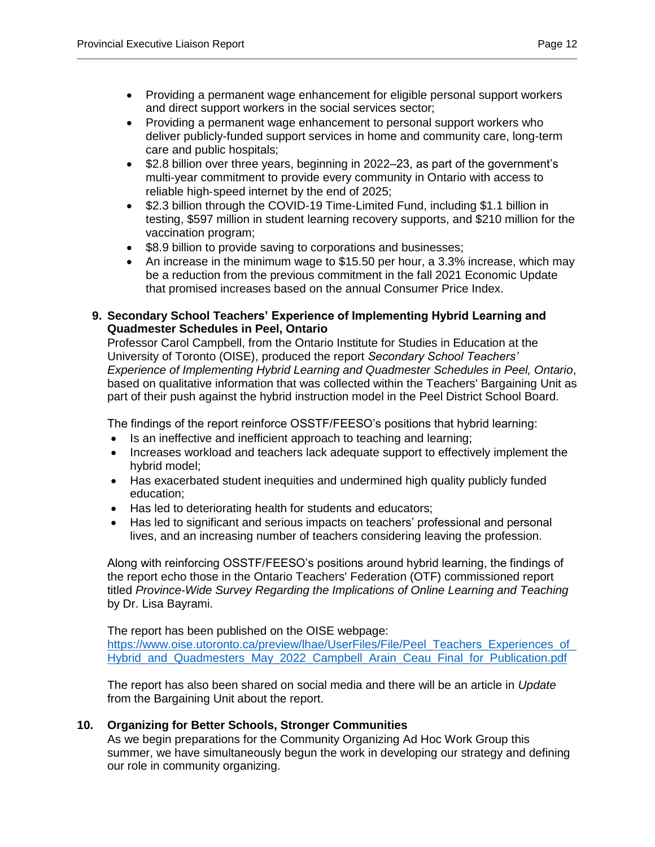- Providing a permanent wage enhancement for eligible personal support workers and direct support workers in the social services sector;
- Providing a permanent wage enhancement to personal support workers who deliver publicly-funded support services in home and community care, long-term care and public hospitals;
- \$2.8 billion over three years, beginning in 2022–23, as part of the government's multi‐year commitment to provide every community in Ontario with access to reliable high‐speed internet by the end of 2025;
- \$2.3 billion through the COVID-19 Time-Limited Fund, including \$1.1 billion in testing, \$597 million in student learning recovery supports, and \$210 million for the vaccination program;
- \$8.9 billion to provide saving to corporations and businesses;
- An increase in the minimum wage to \$15.50 per hour, a 3.3% increase, which may be a reduction from the previous commitment in the fall 2021 Economic Update that promised increases based on the annual Consumer Price Index.

# <span id="page-11-0"></span>**9. Secondary School Teachers' Experience of Implementing Hybrid Learning and Quadmester Schedules in Peel, Ontario**

Professor Carol Campbell, from the Ontario Institute for Studies in Education at the University of Toronto (OISE), produced the report *Secondary School Teachers' Experience of Implementing Hybrid Learning and Quadmester Schedules in Peel, Ontario*, based on qualitative information that was collected within the Teachers' Bargaining Unit as part of their push against the hybrid instruction model in the Peel District School Board.

The findings of the report reinforce OSSTF/FEESO's positions that hybrid learning:

- Is an ineffective and inefficient approach to teaching and learning;
- Increases workload and teachers lack adequate support to effectively implement the hybrid model;
- Has exacerbated student inequities and undermined high quality publicly funded education;
- Has led to deteriorating health for students and educators;
- Has led to significant and serious impacts on teachers' professional and personal lives, and an increasing number of teachers considering leaving the profession.

Along with reinforcing OSSTF/FEESO's positions around hybrid learning, the findings of the report echo those in the Ontario Teachers' Federation (OTF) commissioned report titled *Province-Wide Survey Regarding the Implications of Online Learning and Teaching* by Dr. Lisa Bayrami.

The report has been published on the OISE webpage:

https://www.oise.utoronto.ca/preview/lhae/UserFiles/File/Peel\_Teachers\_Experiences\_of Hybrid and Quadmesters May 2022 Campbell Arain Ceau Final for Publication.pdf

The report has also been shared on social media and there will be an article in *Update* from the Bargaining Unit about the report.

# <span id="page-11-1"></span>**10. Organizing for Better Schools, Stronger Communities**

As we begin preparations for the Community Organizing Ad Hoc Work Group this summer, we have simultaneously begun the work in developing our strategy and defining our role in community organizing.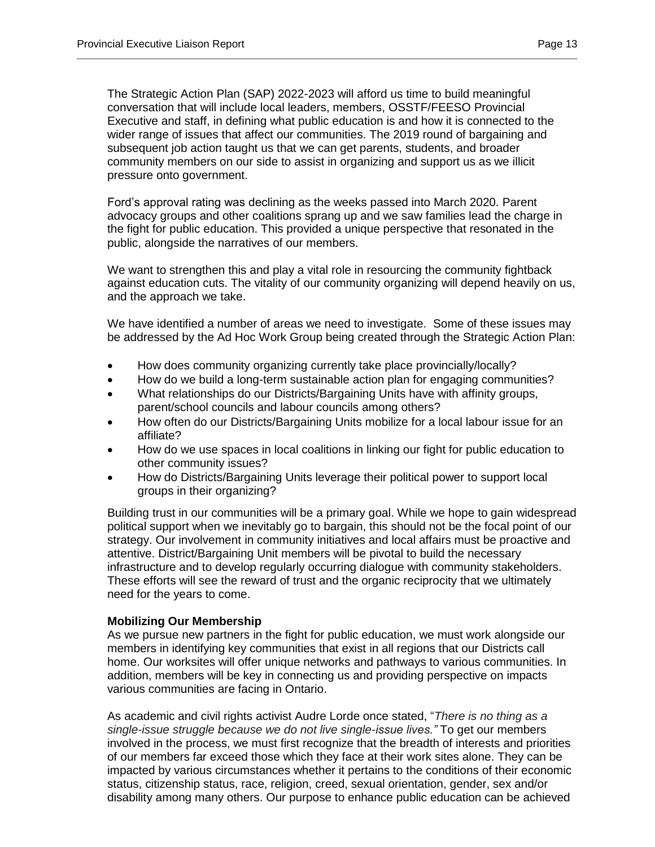The Strategic Action Plan (SAP) 2022-2023 will afford us time to build meaningful conversation that will include local leaders, members, OSSTF/FEESO Provincial Executive and staff, in defining what public education is and how it is connected to the wider range of issues that affect our communities. The 2019 round of bargaining and subsequent job action taught us that we can get parents, students, and broader community members on our side to assist in organizing and support us as we illicit pressure onto government.

Ford's approval rating was declining as the weeks passed into March 2020. Parent advocacy groups and other coalitions sprang up and we saw families lead the charge in the fight for public education. This provided a unique perspective that resonated in the public, alongside the narratives of our members.

We want to strengthen this and play a vital role in resourcing the community fightback against education cuts. The vitality of our community organizing will depend heavily on us, and the approach we take.

We have identified a number of areas we need to investigate. Some of these issues may be addressed by the Ad Hoc Work Group being created through the Strategic Action Plan:

- How does community organizing currently take place provincially/locally?
- How do we build a long-term sustainable action plan for engaging communities?
- What relationships do our Districts/Bargaining Units have with affinity groups, parent/school councils and labour councils among others?
- How often do our Districts/Bargaining Units mobilize for a local labour issue for an affiliate?
- How do we use spaces in local coalitions in linking our fight for public education to other community issues?
- How do Districts/Bargaining Units leverage their political power to support local groups in their organizing?

Building trust in our communities will be a primary goal. While we hope to gain widespread political support when we inevitably go to bargain, this should not be the focal point of our strategy. Our involvement in community initiatives and local affairs must be proactive and attentive. District/Bargaining Unit members will be pivotal to build the necessary infrastructure and to develop regularly occurring dialogue with community stakeholders. These efforts will see the reward of trust and the organic reciprocity that we ultimately need for the years to come.

#### **Mobilizing Our Membership**

As we pursue new partners in the fight for public education, we must work alongside our members in identifying key communities that exist in all regions that our Districts call home. Our worksites will offer unique networks and pathways to various communities. In addition, members will be key in connecting us and providing perspective on impacts various communities are facing in Ontario.

As academic and civil rights activist Audre Lorde once stated, "*There is no thing as a single-issue struggle because we do not live single-issue lives."* To get our members involved in the process, we must first recognize that the breadth of interests and priorities of our members far exceed those which they face at their work sites alone. They can be impacted by various circumstances whether it pertains to the conditions of their economic status, citizenship status, race, religion, creed, sexual orientation, gender, sex and/or disability among many others. Our purpose to enhance public education can be achieved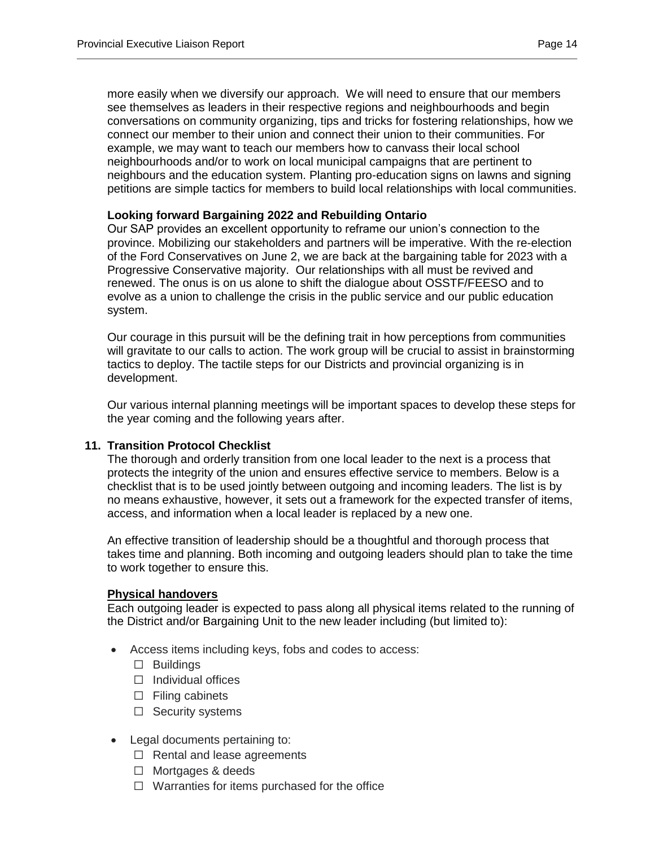more easily when we diversify our approach. We will need to ensure that our members see themselves as leaders in their respective regions and neighbourhoods and begin conversations on community organizing, tips and tricks for fostering relationships, how we connect our member to their union and connect their union to their communities. For example, we may want to teach our members how to canvass their local school neighbourhoods and/or to work on local municipal campaigns that are pertinent to neighbours and the education system. Planting pro-education signs on lawns and signing petitions are simple tactics for members to build local relationships with local communities.

#### **Looking forward Bargaining 2022 and Rebuilding Ontario**

Our SAP provides an excellent opportunity to reframe our union's connection to the province. Mobilizing our stakeholders and partners will be imperative. With the re-election of the Ford Conservatives on June 2, we are back at the bargaining table for 2023 with a Progressive Conservative majority. Our relationships with all must be revived and renewed. The onus is on us alone to shift the dialogue about OSSTF/FEESO and to evolve as a union to challenge the crisis in the public service and our public education system.

Our courage in this pursuit will be the defining trait in how perceptions from communities will gravitate to our calls to action. The work group will be crucial to assist in brainstorming tactics to deploy. The tactile steps for our Districts and provincial organizing is in development.

Our various internal planning meetings will be important spaces to develop these steps for the year coming and the following years after.

#### <span id="page-13-0"></span>**11. Transition Protocol Checklist**

The thorough and orderly transition from one local leader to the next is a process that protects the integrity of the union and ensures effective service to members. Below is a checklist that is to be used jointly between outgoing and incoming leaders. The list is by no means exhaustive, however, it sets out a framework for the expected transfer of items, access, and information when a local leader is replaced by a new one.

An effective transition of leadership should be a thoughtful and thorough process that takes time and planning. Both incoming and outgoing leaders should plan to take the time to work together to ensure this.

#### **Physical handovers**

Each outgoing leader is expected to pass along all physical items related to the running of the District and/or Bargaining Unit to the new leader including (but limited to):

- Access items including keys, fobs and codes to access:
	- ☐ Buildings
	- ☐ Individual offices
	- $\Box$  Filing cabinets
	- □ Security systems
- Legal documents pertaining to:
	- ☐ Rental and lease agreements
	- ☐ Mortgages & deeds
	- $\Box$  Warranties for items purchased for the office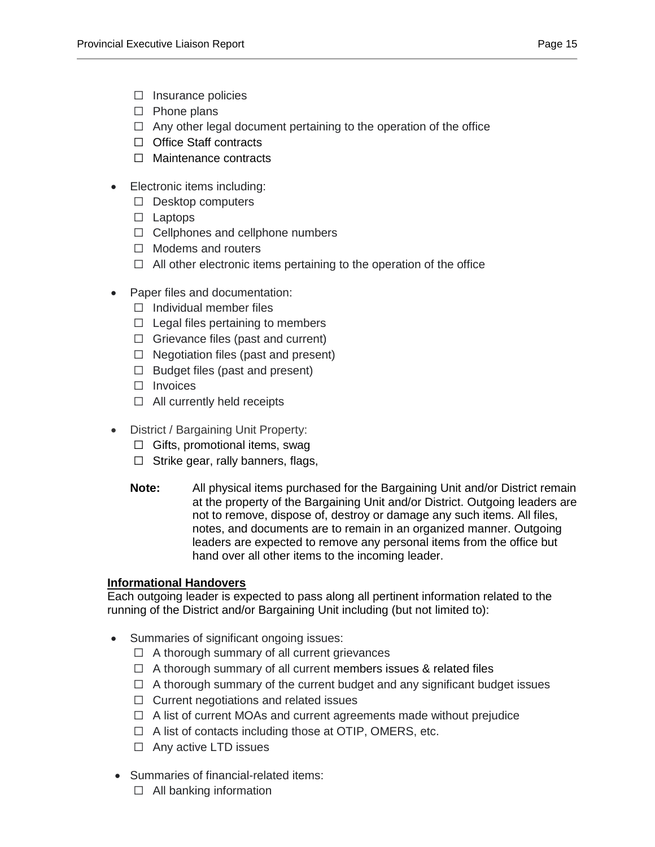- ☐ Insurance policies
- ☐ Phone plans
- $\Box$  Any other legal document pertaining to the operation of the office
- □ Office Staff contracts
- ☐ Maintenance contracts
- Electronic items including:
	- ☐ Desktop computers
	- ☐ Laptops
	- $\Box$  Cellphones and cellphone numbers
	- ☐ Modems and routers
	- ☐ All other electronic items pertaining to the operation of the office
- Paper files and documentation:
	- ☐ Individual member files
	- $\Box$  Legal files pertaining to members
	- $\Box$  Grievance files (past and current)
	- $\Box$  Negotiation files (past and present)
	- $\Box$  Budget files (past and present)
	- □ Invoices
	- ☐ All currently held receipts
- District / Bargaining Unit Property:
	- $\Box$  Gifts, promotional items, swag
	- $\Box$  Strike gear, rally banners, flags,
	- **Note:** All physical items purchased for the Bargaining Unit and/or District remain at the property of the Bargaining Unit and/or District. Outgoing leaders are not to remove, dispose of, destroy or damage any such items. All files, notes, and documents are to remain in an organized manner. Outgoing leaders are expected to remove any personal items from the office but hand over all other items to the incoming leader.

# **Informational Handovers**

Each outgoing leader is expected to pass along all pertinent information related to the running of the District and/or Bargaining Unit including (but not limited to):

- Summaries of significant ongoing issues:
	- ☐ A thorough summary of all current grievances
	- $\Box$  A thorough summary of all current members issues & related files
	- ☐ A thorough summary of the current budget and any significant budget issues
	- ☐ Current negotiations and related issues
	- $\Box$  A list of current MOAs and current agreements made without prejudice
	- ☐ A list of contacts including those at OTIP, OMERS, etc.
	- □ Any active LTD issues
- Summaries of financial-related items:
	- $\Box$  All banking information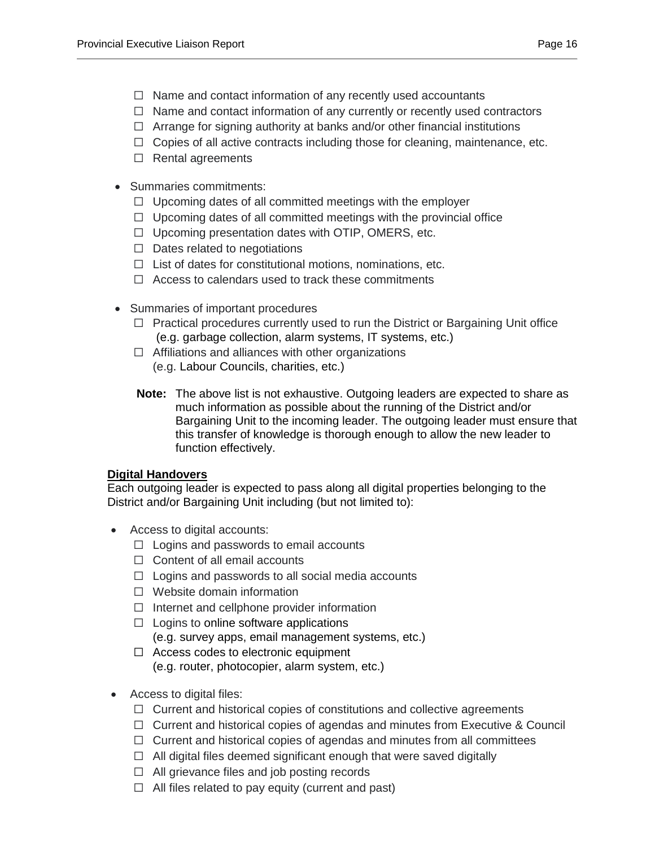- $\Box$  Name and contact information of any recently used accountants
- ☐ Name and contact information of any currently or recently used contractors
- $\Box$  Arrange for signing authority at banks and/or other financial institutions
- $\Box$  Copies of all active contracts including those for cleaning, maintenance, etc.
- ☐ Rental agreements
- Summaries commitments:
	- $\Box$  Upcoming dates of all committed meetings with the employer
	- $\Box$  Upcoming dates of all committed meetings with the provincial office
	- ☐ Upcoming presentation dates with OTIP, OMERS, etc.
	- $\Box$  Dates related to negotiations
	- $\Box$  List of dates for constitutional motions, nominations, etc.
	- $\Box$  Access to calendars used to track these commitments
- Summaries of important procedures
	- ☐ Practical procedures currently used to run the District or Bargaining Unit office (e.g. garbage collection, alarm systems, IT systems, etc.)
	- $\Box$  Affiliations and alliances with other organizations (e.g. Labour Councils, charities, etc.)
	- **Note:** The above list is not exhaustive. Outgoing leaders are expected to share as much information as possible about the running of the District and/or Bargaining Unit to the incoming leader. The outgoing leader must ensure that this transfer of knowledge is thorough enough to allow the new leader to function effectively.

# **Digital Handovers**

Each outgoing leader is expected to pass along all digital properties belonging to the District and/or Bargaining Unit including (but not limited to):

- Access to digital accounts:
	- $\Box$  Logins and passwords to email accounts
	- ☐ Content of all email accounts
	- $\Box$  Logins and passwords to all social media accounts
	- ☐ Website domain information
	- $\Box$  Internet and cellphone provider information
	- $\Box$  Logins to online software applications (e.g. survey apps, email management systems, etc.)
	- ☐ Access codes to electronic equipment (e.g. router, photocopier, alarm system, etc.)
- Access to digital files:
	- ☐ Current and historical copies of constitutions and collective agreements
	- $\Box$  Current and historical copies of agendas and minutes from Executive & Council
	- ☐ Current and historical copies of agendas and minutes from all committees
	- $\Box$  All digital files deemed significant enough that were saved digitally
	- ☐ All grievance files and job posting records
	- $\Box$  All files related to pay equity (current and past)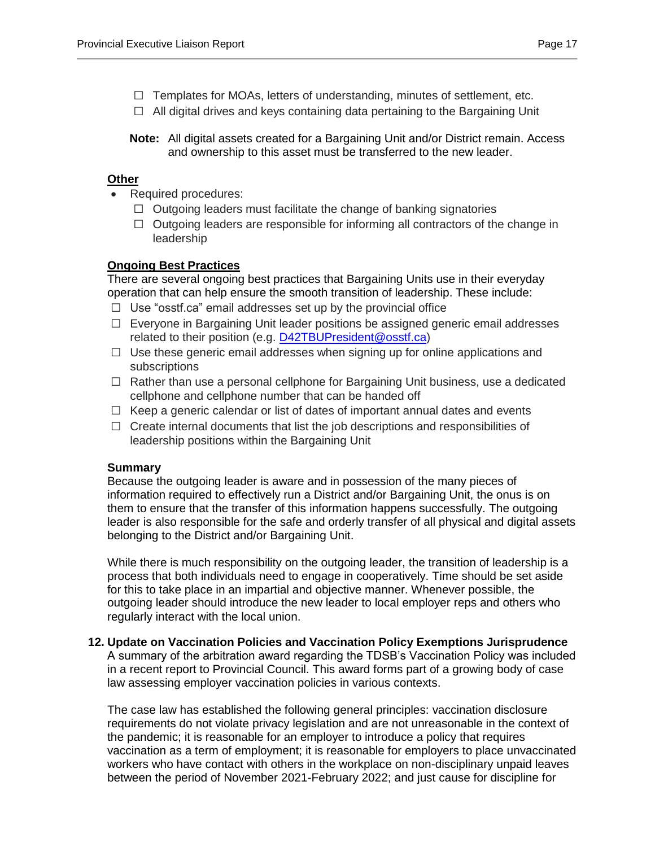- $\Box$  Templates for MOAs, letters of understanding, minutes of settlement, etc.
- ☐ All digital drives and keys containing data pertaining to the Bargaining Unit
- **Note:** All digital assets created for a Bargaining Unit and/or District remain. Access and ownership to this asset must be transferred to the new leader.

## **Other**

- Required procedures:
	- $\Box$  Outgoing leaders must facilitate the change of banking signatories
	- $\Box$  Outgoing leaders are responsible for informing all contractors of the change in leadership

## **Ongoing Best Practices**

There are several ongoing best practices that Bargaining Units use in their everyday operation that can help ensure the smooth transition of leadership. These include:

- $\Box$  Use "osstf.ca" email addresses set up by the provincial office
- ☐ Everyone in Bargaining Unit leader positions be assigned generic email addresses related to their position (e.g. [D42TBUPresident@osstf.ca\)](mailto:D42TBUPresident@osstf.ca)
- $\Box$  Use these generic email addresses when signing up for online applications and subscriptions
- ☐ Rather than use a personal cellphone for Bargaining Unit business, use a dedicated cellphone and cellphone number that can be handed off
- ☐ Keep a generic calendar or list of dates of important annual dates and events
- ☐ Create internal documents that list the job descriptions and responsibilities of leadership positions within the Bargaining Unit

#### **Summary**

Because the outgoing leader is aware and in possession of the many pieces of information required to effectively run a District and/or Bargaining Unit, the onus is on them to ensure that the transfer of this information happens successfully. The outgoing leader is also responsible for the safe and orderly transfer of all physical and digital assets belonging to the District and/or Bargaining Unit.

While there is much responsibility on the outgoing leader, the transition of leadership is a process that both individuals need to engage in cooperatively. Time should be set aside for this to take place in an impartial and objective manner. Whenever possible, the outgoing leader should introduce the new leader to local employer reps and others who regularly interact with the local union.

#### <span id="page-16-0"></span>**12. Update on Vaccination Policies and Vaccination Policy Exemptions Jurisprudence**

A summary of the arbitration award regarding the TDSB's Vaccination Policy was included in a recent report to Provincial Council. This award forms part of a growing body of case law assessing employer vaccination policies in various contexts.

The case law has established the following general principles: vaccination disclosure requirements do not violate privacy legislation and are not unreasonable in the context of the pandemic; it is reasonable for an employer to introduce a policy that requires vaccination as a term of employment; it is reasonable for employers to place unvaccinated workers who have contact with others in the workplace on non-disciplinary unpaid leaves between the period of November 2021-February 2022; and just cause for discipline for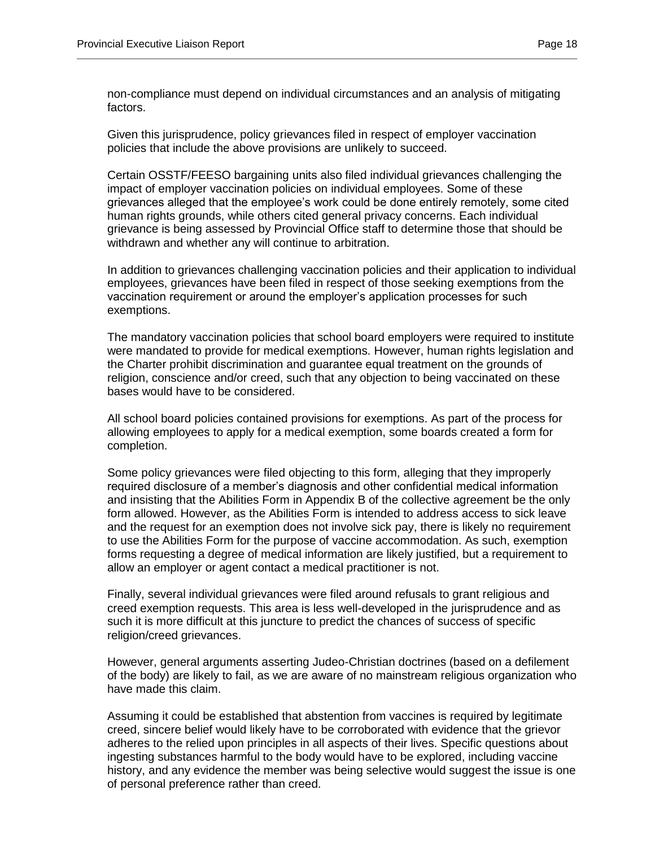non-compliance must depend on individual circumstances and an analysis of mitigating factors.

Given this jurisprudence, policy grievances filed in respect of employer vaccination policies that include the above provisions are unlikely to succeed.

Certain OSSTF/FEESO bargaining units also filed individual grievances challenging the impact of employer vaccination policies on individual employees. Some of these grievances alleged that the employee's work could be done entirely remotely, some cited human rights grounds, while others cited general privacy concerns. Each individual grievance is being assessed by Provincial Office staff to determine those that should be withdrawn and whether any will continue to arbitration.

In addition to grievances challenging vaccination policies and their application to individual employees, grievances have been filed in respect of those seeking exemptions from the vaccination requirement or around the employer's application processes for such exemptions.

The mandatory vaccination policies that school board employers were required to institute were mandated to provide for medical exemptions. However, human rights legislation and the Charter prohibit discrimination and guarantee equal treatment on the grounds of religion, conscience and/or creed, such that any objection to being vaccinated on these bases would have to be considered.

All school board policies contained provisions for exemptions. As part of the process for allowing employees to apply for a medical exemption, some boards created a form for completion.

Some policy grievances were filed objecting to this form, alleging that they improperly required disclosure of a member's diagnosis and other confidential medical information and insisting that the Abilities Form in Appendix B of the collective agreement be the only form allowed. However, as the Abilities Form is intended to address access to sick leave and the request for an exemption does not involve sick pay, there is likely no requirement to use the Abilities Form for the purpose of vaccine accommodation. As such, exemption forms requesting a degree of medical information are likely justified, but a requirement to allow an employer or agent contact a medical practitioner is not.

Finally, several individual grievances were filed around refusals to grant religious and creed exemption requests. This area is less well-developed in the jurisprudence and as such it is more difficult at this juncture to predict the chances of success of specific religion/creed grievances.

However, general arguments asserting Judeo-Christian doctrines (based on a defilement of the body) are likely to fail, as we are aware of no mainstream religious organization who have made this claim.

Assuming it could be established that abstention from vaccines is required by legitimate creed, sincere belief would likely have to be corroborated with evidence that the grievor adheres to the relied upon principles in all aspects of their lives. Specific questions about ingesting substances harmful to the body would have to be explored, including vaccine history, and any evidence the member was being selective would suggest the issue is one of personal preference rather than creed.